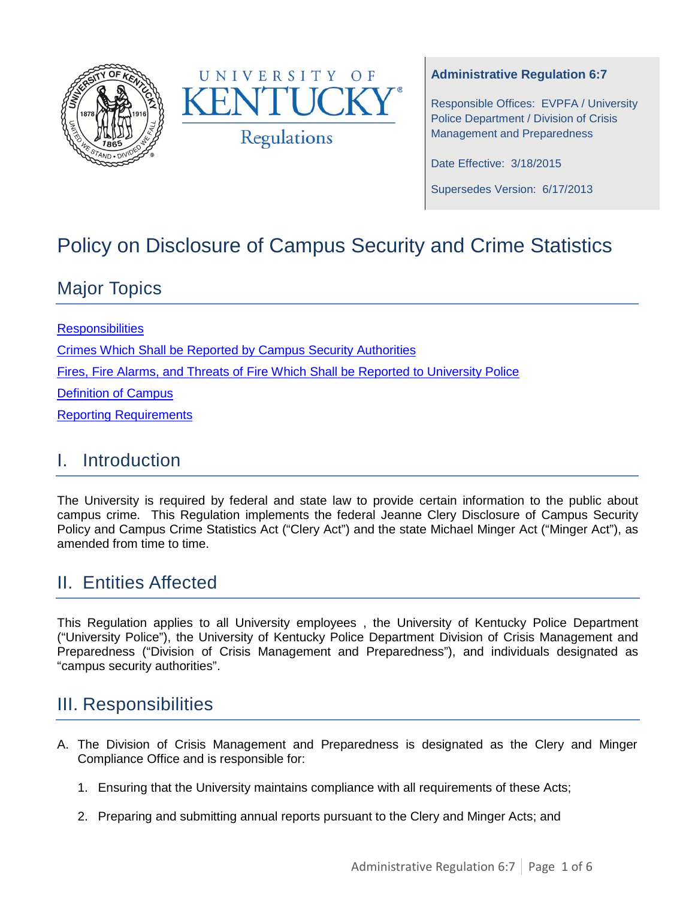



#### **Administrative Regulation 6:7**

Responsible Offices: EVPFA / University Police Department / Division of Crisis Management and Preparedness

Date Effective: 3/18/2015

Supersedes Version: 6/17/2013

# Policy on Disclosure of Campus Security and Crime Statistics

## Major Topics

**[Responsibilities](#page-0-0)** [Crimes Which Shall be Reported by Campus Security Authorities](#page-2-0) [Fires, Fire Alarms, and Threats of Fire Which Shall be Reported to University Police](#page-3-0) [Definition of Campus](#page-3-1) [Reporting Requirements](#page-4-0) 

### I. Introduction

The University is required by federal and state law to provide certain information to the public about campus crime. This Regulation implements the federal Jeanne Clery Disclosure of Campus Security Policy and Campus Crime Statistics Act ("Clery Act") and the state Michael Minger Act ("Minger Act"), as amended from time to time.

## II. Entities Affected

This Regulation applies to all University employees , the University of Kentucky Police Department ("University Police"), the University of Kentucky Police Department Division of Crisis Management and Preparedness ("Division of Crisis Management and Preparedness"), and individuals designated as "campus security authorities".

### <span id="page-0-0"></span>III. Responsibilities

- A. The Division of Crisis Management and Preparedness is designated as the Clery and Minger Compliance Office and is responsible for:
	- 1. Ensuring that the University maintains compliance with all requirements of these Acts;
	- 2. Preparing and submitting annual reports pursuant to the Clery and Minger Acts; and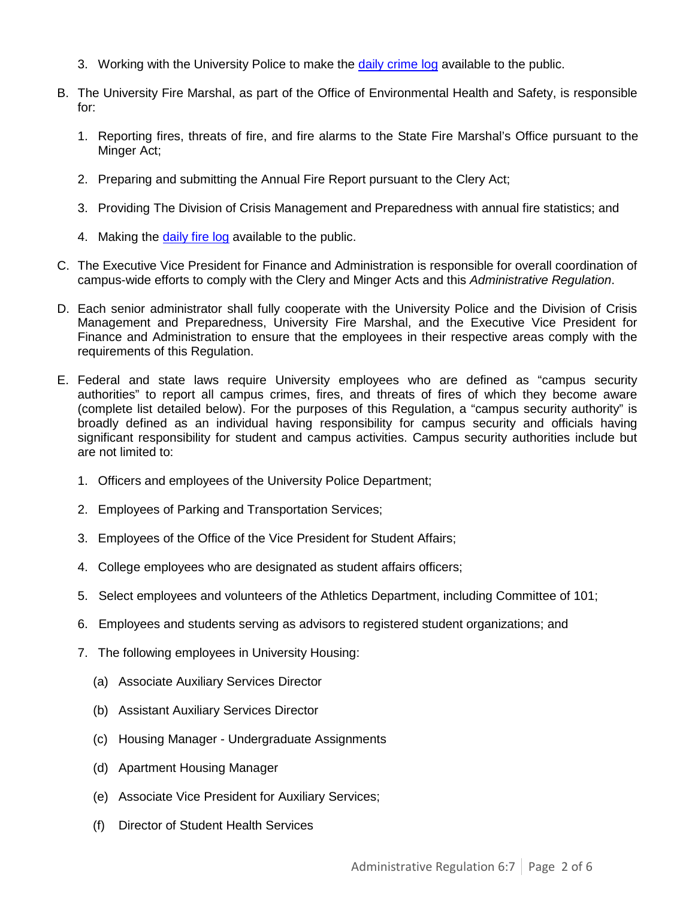- 3. Working with the University Police to make the [daily crime log](http://www.uky.edu/crimelog) available to the public.
- B. The University Fire Marshal, as part of the Office of Environmental Health and Safety, is responsible for:
	- 1. Reporting fires, threats of fire, and fire alarms to the State Fire Marshal's Office pursuant to the Minger Act;
	- 2. Preparing and submitting the Annual Fire Report pursuant to the Clery Act;
	- 3. Providing The Division of Crisis Management and Preparedness with annual fire statistics; and
	- 4. Making the [daily fire log](http://ehs.uky.edu/fire/fire_log_0001.php) available to the public.
- C. The Executive Vice President for Finance and Administration is responsible for overall coordination of campus-wide efforts to comply with the Clery and Minger Acts and this *Administrative Regulation*.
- D. Each senior administrator shall fully cooperate with the University Police and the Division of Crisis Management and Preparedness, University Fire Marshal, and the Executive Vice President for Finance and Administration to ensure that the employees in their respective areas comply with the requirements of this Regulation.
- E. Federal and state laws require University employees who are defined as "campus security authorities" to report all campus crimes, fires, and threats of fires of which they become aware (complete list detailed below). For the purposes of this Regulation, a "campus security authority" is broadly defined as an individual having responsibility for campus security and officials having significant responsibility for student and campus activities. Campus security authorities include but are not limited to:
	- 1. Officers and employees of the University Police Department;
	- 2. Employees of Parking and Transportation Services;
	- 3. Employees of the Office of the Vice President for Student Affairs;
	- 4. College employees who are designated as student affairs officers;
	- 5. Select employees and volunteers of the Athletics Department, including Committee of 101;
	- 6. Employees and students serving as advisors to registered student organizations; and
	- 7. The following employees in University Housing:
		- (a) Associate Auxiliary Services Director
		- (b) Assistant Auxiliary Services Director
		- (c) Housing Manager Undergraduate Assignments
		- (d) Apartment Housing Manager
		- (e) Associate Vice President for Auxiliary Services;
		- (f) Director of Student Health Services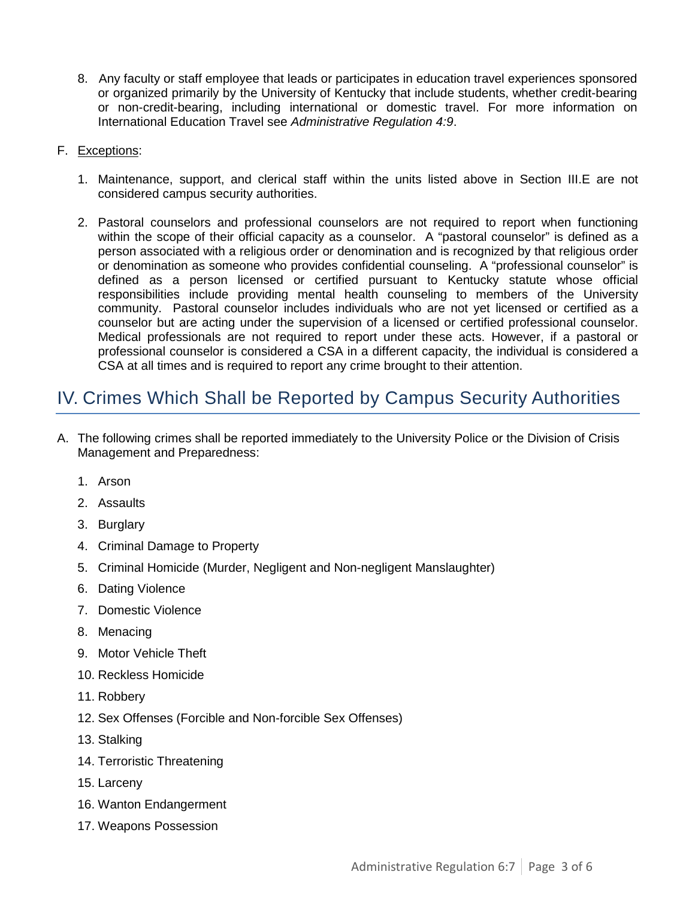8. Any faculty or staff employee that leads or participates in education travel experiences sponsored or organized primarily by the University of Kentucky that include students, whether credit-bearing or non-credit-bearing, including international or domestic travel. For more information on International Education Travel see *Administrative Regulation 4:9*.

#### F. Exceptions:

- 1. Maintenance, support, and clerical staff within the units listed above in Section III.E are not considered campus security authorities.
- 2. Pastoral counselors and professional counselors are not required to report when functioning within the scope of their official capacity as a counselor. A "pastoral counselor" is defined as a person associated with a religious order or denomination and is recognized by that religious order or denomination as someone who provides confidential counseling. A "professional counselor" is defined as a person licensed or certified pursuant to Kentucky statute whose official responsibilities include providing mental health counseling to members of the University community. Pastoral counselor includes individuals who are not yet licensed or certified as a counselor but are acting under the supervision of a licensed or certified professional counselor. Medical professionals are not required to report under these acts. However, if a pastoral or professional counselor is considered a CSA in a different capacity, the individual is considered a CSA at all times and is required to report any crime brought to their attention.

## <span id="page-2-0"></span>IV. Crimes Which Shall be Reported by Campus Security Authorities

- A. The following crimes shall be reported immediately to the University Police or the Division of Crisis Management and Preparedness:
	- 1. Arson
	- 2. Assaults
	- 3. Burglary
	- 4. Criminal Damage to Property
	- 5. Criminal Homicide (Murder, Negligent and Non-negligent Manslaughter)
	- 6. Dating Violence
	- 7. Domestic Violence
	- 8. Menacing
	- 9. Motor Vehicle Theft
	- 10. Reckless Homicide
	- 11. Robbery
	- 12. Sex Offenses (Forcible and Non-forcible Sex Offenses)
	- 13. Stalking
	- 14. Terroristic Threatening
	- 15. Larceny
	- 16. Wanton Endangerment
	- 17. Weapons Possession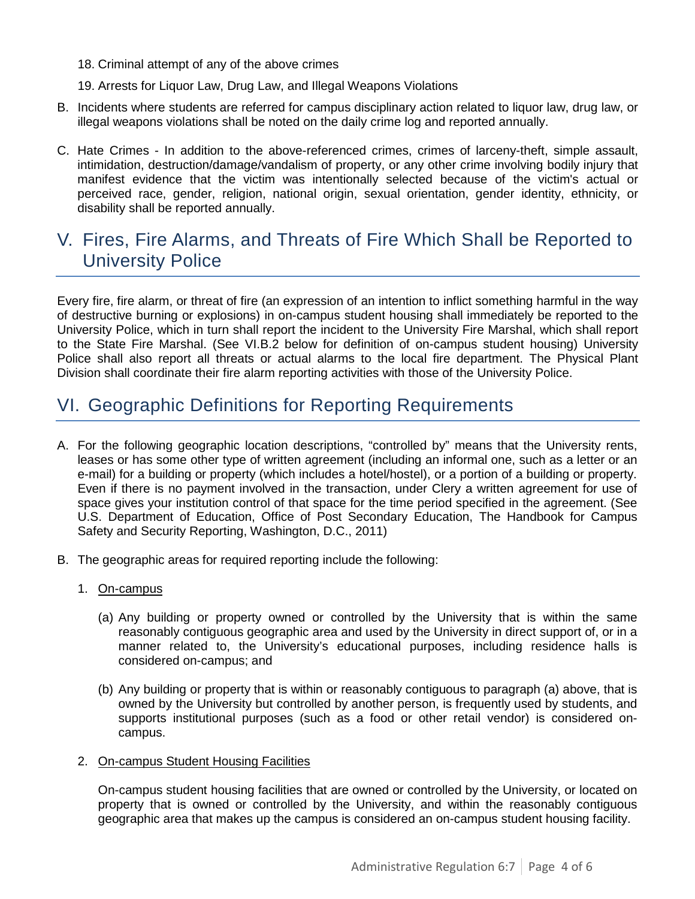- 18. Criminal attempt of any of the above crimes
- 19. Arrests for Liquor Law, Drug Law, and Illegal Weapons Violations
- B. Incidents where students are referred for campus disciplinary action related to liquor law, drug law, or illegal weapons violations shall be noted on the daily crime log and reported annually.
- C. Hate Crimes In addition to the above-referenced crimes, crimes of larceny-theft, simple assault, intimidation, destruction/damage/vandalism of property, or any other crime involving bodily injury that manifest evidence that the victim was intentionally selected because of the victim's actual or perceived race, gender, religion, national origin, sexual orientation, gender identity, ethnicity, or disability shall be reported annually.

### <span id="page-3-0"></span>V. Fires, Fire Alarms, and Threats of Fire Which Shall be Reported to University Police

Every fire, fire alarm, or threat of fire (an expression of an intention to inflict something harmful in the way of destructive burning or explosions) in on-campus student housing shall immediately be reported to the University Police, which in turn shall report the incident to the University Fire Marshal, which shall report to the State Fire Marshal. (See VI.B.2 below for definition of on-campus student housing) University Police shall also report all threats or actual alarms to the local fire department. The Physical Plant Division shall coordinate their fire alarm reporting activities with those of the University Police.

## <span id="page-3-1"></span>VI. Geographic Definitions for Reporting Requirements

- A. For the following geographic location descriptions, "controlled by" means that the University rents, leases or has some other type of written agreement (including an informal one, such as a letter or an e-mail) for a building or property (which includes a hotel/hostel), or a portion of a building or property. Even if there is no payment involved in the transaction, under Clery a written agreement for use of space gives your institution control of that space for the time period specified in the agreement. (See U.S. Department of Education, Office of Post Secondary Education, The Handbook for Campus Safety and Security Reporting, Washington, D.C., 2011)
- B. The geographic areas for required reporting include the following:
	- 1. On-campus
		- (a) Any building or property owned or controlled by the University that is within the same reasonably contiguous geographic area and used by the University in direct support of, or in a manner related to, the University's educational purposes, including residence halls is considered on-campus; and
		- (b) Any building or property that is within or reasonably contiguous to paragraph (a) above, that is owned by the University but controlled by another person, is frequently used by students, and supports institutional purposes (such as a food or other retail vendor) is considered oncampus.

#### 2. On-campus Student Housing Facilities

On-campus student housing facilities that are owned or controlled by the University, or located on property that is owned or controlled by the University, and within the reasonably contiguous geographic area that makes up the campus is considered an on-campus student housing facility.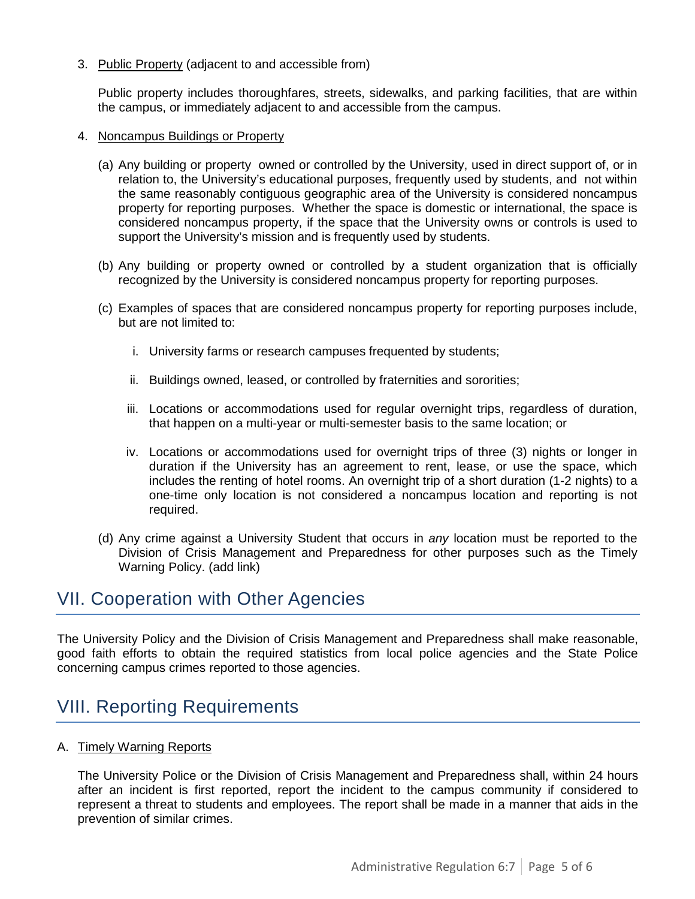3. Public Property (adjacent to and accessible from)

Public property includes thoroughfares, streets, sidewalks, and parking facilities, that are within the campus, or immediately adjacent to and accessible from the campus.

- 4. Noncampus Buildings or Property
	- (a) Any building or property owned or controlled by the University, used in direct support of, or in relation to, the University's educational purposes, frequently used by students, and not within the same reasonably contiguous geographic area of the University is considered noncampus property for reporting purposes. Whether the space is domestic or international, the space is considered noncampus property, if the space that the University owns or controls is used to support the University's mission and is frequently used by students.
	- (b) Any building or property owned or controlled by a student organization that is officially recognized by the University is considered noncampus property for reporting purposes.
	- (c) Examples of spaces that are considered noncampus property for reporting purposes include, but are not limited to:
		- i. University farms or research campuses frequented by students;
		- ii. Buildings owned, leased, or controlled by fraternities and sororities;
		- iii. Locations or accommodations used for regular overnight trips, regardless of duration, that happen on a multi-year or multi-semester basis to the same location; or
		- iv. Locations or accommodations used for overnight trips of three (3) nights or longer in duration if the University has an agreement to rent, lease, or use the space, which includes the renting of hotel rooms. An overnight trip of a short duration (1-2 nights) to a one-time only location is not considered a noncampus location and reporting is not required.
	- (d) Any crime against a University Student that occurs in *any* location must be reported to the Division of Crisis Management and Preparedness for other purposes such as the Timely Warning Policy. (add link)

### VII. Cooperation with Other Agencies

The University Policy and the Division of Crisis Management and Preparedness shall make reasonable, good faith efforts to obtain the required statistics from local police agencies and the State Police concerning campus crimes reported to those agencies.

## <span id="page-4-0"></span>VIII. Reporting Requirements

A. Timely Warning Reports

The University Police or the Division of Crisis Management and Preparedness shall, within 24 hours after an incident is first reported, report the incident to the campus community if considered to represent a threat to students and employees. The report shall be made in a manner that aids in the prevention of similar crimes.